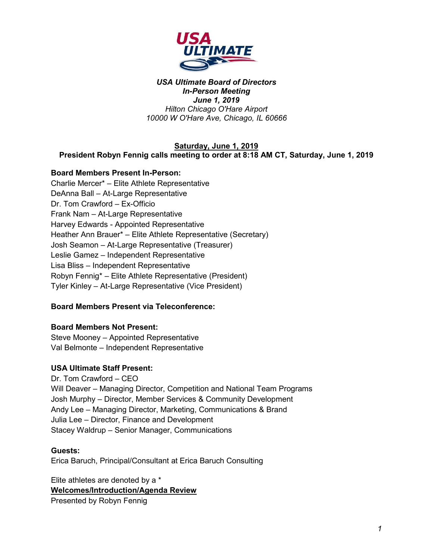

### **Saturday, June 1, 2019**

### **President Robyn Fennig calls meeting to order at 8:18 AM CT, Saturday, June 1, 2019**

### **Board Members Present In-Person:**

Charlie Mercer\* – Elite Athlete Representative DeAnna Ball – At-Large Representative Dr. Tom Crawford – Ex-Officio Frank Nam – At-Large Representative Harvey Edwards - Appointed Representative Heather Ann Brauer\* – Elite Athlete Representative (Secretary) Josh Seamon – At-Large Representative (Treasurer) Leslie Gamez – Independent Representative Lisa Bliss – Independent Representative Robyn Fennig\* – Elite Athlete Representative (President) Tyler Kinley – At-Large Representative (Vice President)

### **Board Members Present via Teleconference:**

### **Board Members Not Present:**

Steve Mooney – Appointed Representative Val Belmonte – Independent Representative

#### **USA Ultimate Staff Present:**

Dr. Tom Crawford – CEO Will Deaver – Managing Director, Competition and National Team Programs Josh Murphy – Director, Member Services & Community Development Andy Lee – Managing Director, Marketing, Communications & Brand Julia Lee – Director, Finance and Development Stacey Waldrup – Senior Manager, Communications

#### **Guests:**

Erica Baruch, Principal/Consultant at Erica Baruch Consulting

Elite athletes are denoted by a \* **Welcomes/Introduction/Agenda Review** Presented by Robyn Fennig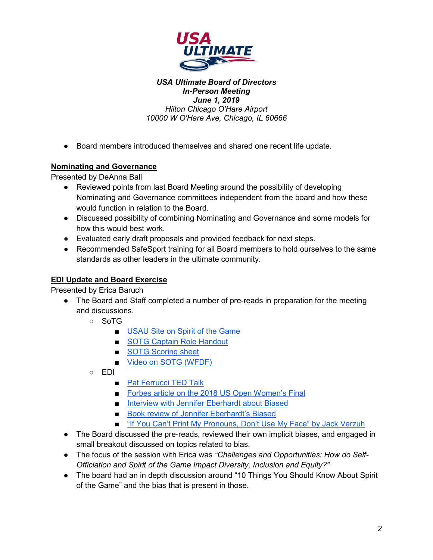

● Board members introduced themselves and shared one recent life update.

# **Nominating and Governance**

Presented by DeAnna Ball

- Reviewed points from last Board Meeting around the possibility of developing Nominating and Governance committees independent from the board and how these would function in relation to the Board.
- Discussed possibility of combining Nominating and Governance and some models for how this would best work.
- Evaluated early draft proposals and provided feedback for next steps.
- Recommended SafeSport training for all Board members to hold ourselves to the same standards as other leaders in the ultimate community.

# **EDI Update and Board Exercise**

Presented by Erica Baruch

- The Board and Staff completed a number of pre-reads in preparation for the meeting and discussions.
	- SoTG
		- [USAU Site on Spirit of the Game](https://www.usaultimate.org/about/ultimate/spirit_of_the_game.aspx)
		- [SOTG Captain Role Handout](https://www.usaultimate.org/assets/1/Page/Spirit%20Captain%20Role.pdf)
		- [SOTG Scoring sheet](https://www.usaultimate.org/assets/1/Page/WFDF%20Spirit%20Sheet%20-%20Single%20Game%20with%20Behavior%20Examples.pdf)
		- [Video on SOTG \(WFDF\)](https://www.youtube.com/watch?v=9U9DIkshkRs)
	- EDI
		- [Pat Ferrucci TED Talk](https://www.ted.com/talks/pat_ferrucci_sports_journalists_stereotype_athletes_by_race_and_we_do_too)
		- [Forbes article on the 2018 US Open Women's Final](https://www.forbes.com/sites/paologaudiano/2018/09/10/diversity-and-gender-bias-at-us-open-final/#44e9034469ae)
		- [Interview with Jennifer Eberhardt about Biased](http://media.mtvnservices.com/embed/mgid:arc:video:comedycentral.com:0ad1b3a1-f58e-42e5-9806-52bce3223ee8)
		- [Book review of Jennifer Eberhardt's Biased](https://www.nytimes.com/2019/04/26/books/review/jennifer-l-eberhardt-biased.html)
		- ["If You Can't Print My Pronouns, Don't Use My Face" by Jack Verzuh](https://medium.com/@jack.verzuh/if-you-cant-print-my-pronouns-don-t-use-my-face-b5626a84c280)
- The Board discussed the pre-reads, reviewed their own implicit biases, and engaged in small breakout discussed on topics related to bias.
- The focus of the session with Erica was *"Challenges and Opportunities: How do Self-Officiation and Spirit of the Game Impact Diversity, Inclusion and Equity?"*
- The board had an in depth discussion around "10 Things You Should Know About Spirit of the Game" and the bias that is present in those.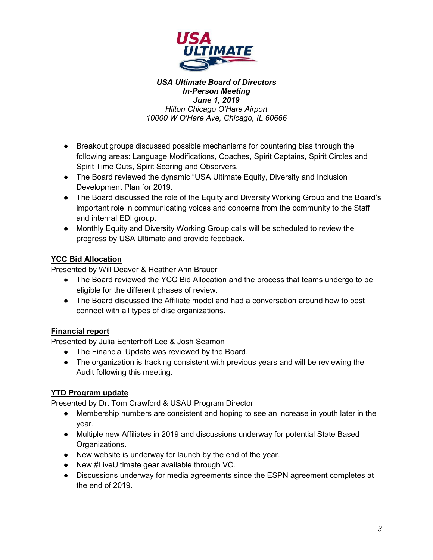

- Breakout groups discussed possible mechanisms for countering bias through the following areas: Language Modifications, Coaches, Spirit Captains, Spirit Circles and Spirit Time Outs, Spirit Scoring and Observers.
- The Board reviewed the dynamic "USA Ultimate Equity, Diversity and Inclusion Development Plan for 2019.
- The Board discussed the role of the Equity and Diversity Working Group and the Board's important role in communicating voices and concerns from the community to the Staff and internal EDI group.
- Monthly Equity and Diversity Working Group calls will be scheduled to review the progress by USA Ultimate and provide feedback.

# **YCC Bid Allocation**

Presented by Will Deaver & Heather Ann Brauer

- The Board reviewed the YCC Bid Allocation and the process that teams undergo to be eligible for the different phases of review.
- The Board discussed the Affiliate model and had a conversation around how to best connect with all types of disc organizations.

### **Financial report**

Presented by Julia Echterhoff Lee & Josh Seamon

- The Financial Update was reviewed by the Board.
- The organization is tracking consistent with previous years and will be reviewing the Audit following this meeting.

# **YTD Program update**

Presented by Dr. Tom Crawford & USAU Program Director

- Membership numbers are consistent and hoping to see an increase in youth later in the year.
- Multiple new Affiliates in 2019 and discussions underway for potential State Based Organizations.
- New website is underway for launch by the end of the year.
- New #LiveUltimate gear available through VC.
- Discussions underway for media agreements since the ESPN agreement completes at the end of 2019.